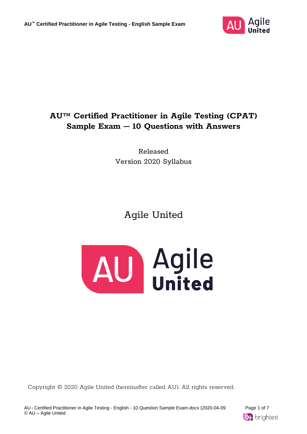

## **AU™ Certified Practitioner in Agile Testing (CPAT) Sample Exam – 10 Questions with Answers**

Released Version 2020 Syllabus

# Agile United



Copyright © 2020 Agile United (hereinafter called AU). All rights reserved.

AU - Certified Practitioner in Agile Testing - English - 10 Question Sample Exam.docx (2020-04-09 Page 1 of 7 © AU – Agile United

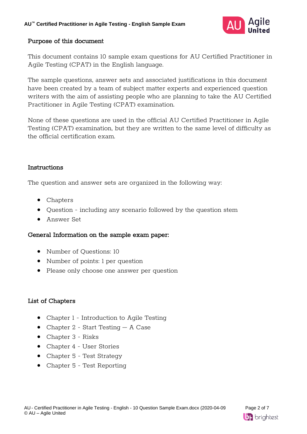

### Purpose of this document

This document contains 10 sample exam questions for AU Certified Practitioner in Agile Testing (CPAT) in the English language.

The sample questions, answer sets and associated justifications in this document have been created by a team of subject matter experts and experienced question writers with the aim of assisting people who are planning to take the AU Certified Practitioner in Agile Testing (CPAT) examination.

None of these questions are used in the official AU Certified Practitioner in Agile Testing (CPAT) examination, but they are written to the same level of difficulty as the official certification exam.

### Instructions

The question and answer sets are organized in the following way:

- Chapters
- Question including any scenario followed by the question stem
- Answer Set

### General Information on the sample exam paper:

- Number of Ouestions: 10
- Number of points: 1 per question
- Please only choose one answer per question

### List of Chapters

- Chapter 1 Introduction to Agile Testing
- Chapter 2 Start Testing A Case
- Chapter 3 Risks
- Chapter 4 User Stories
- Chapter 5 Test Strategy
- Chapter 5 Test Reporting

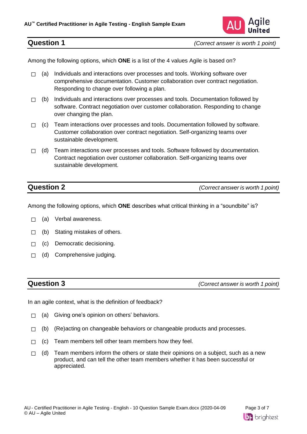

Among the following options, which **ONE** is a list of the 4 values Agile is based on?

- $\Box$  (a) Individuals and interactions over processes and tools. Working software over comprehensive documentation. Customer collaboration over contract negotiation. Responding to change over following a plan.
- $\Box$  (b) Individuals and interactions over processes and tools. Documentation followed by software. Contract negotiation over customer collaboration. Responding to change over changing the plan.
- $\Box$  (c) Team interactions over processes and tools. Documentation followed by software. Customer collaboration over contract negotiation. Self-organizing teams over sustainable development.
- $\Box$  (d) Team interactions over processes and tools. Software followed by documentation. Contract negotiation over customer collaboration. Self-organizing teams over sustainable development.

**Question 2** *(Correct answer is worth 1 point)*

Among the following options, which **ONE** describes what critical thinking in a "soundbite" is?

- □ (a) Verbal awareness.
- $\Box$  (b) Stating mistakes of others.
- □ (c) Democratic decisioning.
- □ (d) Comprehensive judging.

**Question 3** *(Correct answer is worth 1 point)*

In an agile context, what is the definition of feedback?

- $\Box$  (a) Giving one's opinion on others' behaviors.
- $\Box$  (b) (Re)acting on changeable behaviors or changeable products and processes.
- $\Box$  (c) Team members tell other team members how they feel.
- $\Box$  (d) Team members inform the others or state their opinions on a subject, such as a new product, and can tell the other team members whether it has been successful or appreciated.

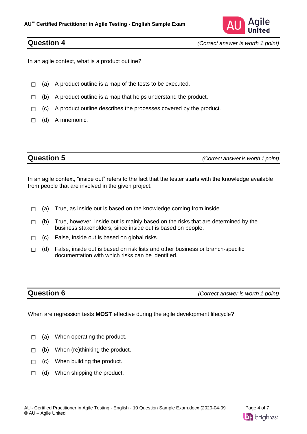

In an agile context, what is a product outline?

- $\Box$  (a) A product outline is a map of the tests to be executed.
- $\Box$  (b) A product outline is a map that helps understand the product.
- $\Box$  (c) A product outline describes the processes covered by the product.
- $\Box$  (d) A mnemonic.

**Question 5** *(Correct answer is worth 1 point)*

In an agile context, "inside out" refers to the fact that the tester starts with the knowledge available from people that are involved in the given project.

- $\Box$  (a) True, as inside out is based on the knowledge coming from inside.
- $\Box$  (b) True, however, inside out is mainly based on the risks that are determined by the business stakeholders, since inside out is based on people.
- $\Box$  (c) False, inside out is based on global risks.
- $\Box$  (d) False, inside out is based on risk lists and other business or branch-specific documentation with which risks can be identified.

**Question 6** *(Correct answer is worth 1 point)*

When are regression tests **MOST** effective during the agile development lifecycle?

- $\Box$  (a) When operating the product.
- $\Box$  (b) When (re)thinking the product.
- $\Box$  (c) When building the product.
- $\Box$  (d) When shipping the product.

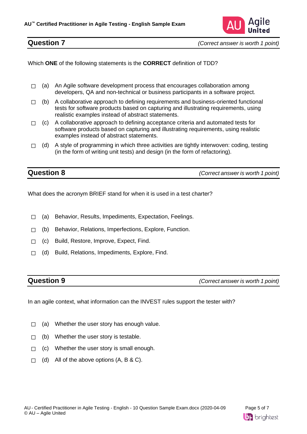

Which **ONE** of the following statements is the **CORRECT** definition of TDD?

- $\Box$  (a) An Agile software development process that encourages collaboration among developers, QA and non-technical or business participants in a software project.
- $\Box$  (b) A collaborative approach to defining requirements and business-oriented functional tests for software products based on capturing and illustrating requirements, using realistic examples instead of abstract statements.
- $\Box$  (c) A collaborative approach to defining acceptance criteria and automated tests for software products based on capturing and illustrating requirements, using realistic examples instead of abstract statements.
- $\Box$  (d) A style of programming in which three activities are tightly interwoven: coding, testing (in the form of writing unit tests) and design (in the form of refactoring).

**Question 8** *(Correct answer is worth 1 point)*

What does the acronym BRIEF stand for when it is used in a test charter?

- ☐ (a) Behavior, Results, Impediments, Expectation, Feelings.
- ☐ (b) Behavior, Relations, Imperfections, Explore, Function.
- ☐ (c) Build, Restore, Improve, Expect, Find.
- ☐ (d) Build, Relations, Impediments, Explore, Find.

**Question 9** *(Correct answer is worth 1 point)*

In an agile context, what information can the INVEST rules support the tester with?

- $\Box$  (a) Whether the user story has enough value.
- $\Box$  (b) Whether the user story is testable.
- $\Box$  (c) Whether the user story is small enough.
- $\Box$  (d) All of the above options  $(A, B & C)$ .

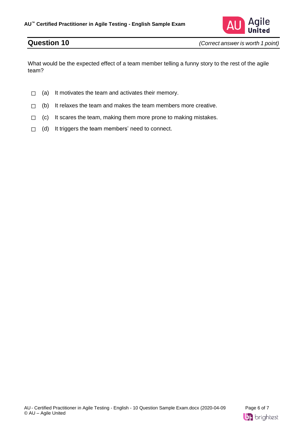

What would be the expected effect of a team member telling a funny story to the rest of the agile team?

- $\Box$  (a) It motivates the team and activates their memory.
- $\Box$  (b) It relaxes the team and makes the team members more creative.
- $\Box$  (c) It scares the team, making them more prone to making mistakes.
- $\Box$  (d) It triggers the team members' need to connect.